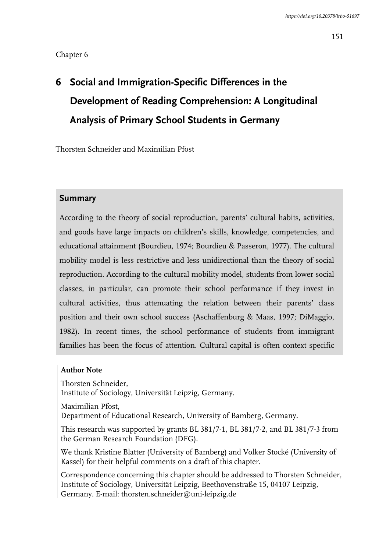# **6 Social and Immigration-Specific Differences in the Development of Reading Comprehension: A Longitudinal Analysis of Primary School Students in Germany**

Thorsten Schneider and Maximilian Pfost

## **Summary**

According to the theory of social reproduction, parents' cultural habits, activities, and goods have large impacts on children's skills, knowledge, competencies, and educational attainment (Bourdieu, 1974; Bourdieu & Passeron, 1977). The cultural mobility model is less restrictive and less unidirectional than the theory of social reproduction. According to the cultural mobility model, students from lower social classes, in particular, can promote their school performance if they invest in cultural activities, thus attenuating the relation between their parents' class position and their own school success (Aschaffenburg & Maas, 1997; DiMaggio, 1982). In recent times, the school performance of students from immigrant families has been the focus of attention. Cultural capital is often context specific

### **Author Note**

Thorsten Schneider,

Institute of Sociology, Universität Leipzig, Germany.

Maximilian Pfost,

Department of Educational Research, University of Bamberg, Germany.

This research was supported by grants BL 381/7-1, BL 381/7-2, and BL 381/7-3 from the German Research Foundation (DFG).

We thank Kristine Blatter (University of Bamberg) and Volker Stocké (University of Kassel) for their helpful comments on a draft of this chapter.

Correspondence concerning this chapter should be addressed to Thorsten Schneider, Institute of Sociology, Universität Leipzig, Beethovenstraße 15, 04107 Leipzig, Germany. E-mail: thorsten.schneider@uni-leipzig.de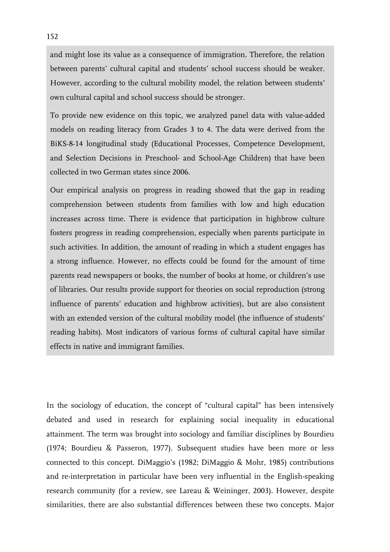and might lose its value as a consequence of immigration. Therefore, the relation between parents' cultural capital and students' school success should be weaker. However, according to the cultural mobility model, the relation between students' own cultural capital and school success should be stronger.

To provide new evidence on this topic, we analyzed panel data with value-added models on reading literacy from Grades 3 to 4. The data were derived from the BiKS-8-14 longitudinal study (Educational Processes, Competence Development, and Selection Decisions in Preschool- and School-Age Children) that have been collected in two German states since 2006.

Our empirical analysis on progress in reading showed that the gap in reading comprehension between students from families with low and high education increases across time. There is evidence that participation in highbrow culture fosters progress in reading comprehension, especially when parents participate in such activities. In addition, the amount of reading in which a student engages has a strong influence. However, no effects could be found for the amount of time parents read newspapers or books, the number of books at home, or children's use of libraries. Our results provide support for theories on social reproduction (strong influence of parents' education and highbrow activities), but are also consistent with an extended version of the cultural mobility model (the influence of students' reading habits). Most indicators of various forms of cultural capital have similar effects in native and immigrant families.

In the sociology of education, the concept of "cultural capital" has been intensively debated and used in research for explaining social inequality in educational attainment. The term was brought into sociology and familiar disciplines by Bourdieu (1974; Bourdieu & Passeron, 1977). Subsequent studies have been more or less connected to this concept. DiMaggio's (1982; DiMaggio & Mohr, 1985) contributions and re-interpretation in particular have been very influential in the English-speaking research community (for a review, see Lareau & Weininger, 2003). However, despite similarities, there are also substantial differences between these two concepts. Major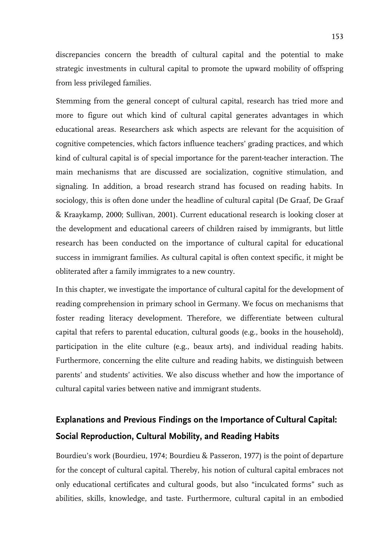discrepancies concern the breadth of cultural capital and the potential to make strategic investments in cultural capital to promote the upward mobility of offspring from less privileged families.

Stemming from the general concept of cultural capital, research has tried more and more to figure out which kind of cultural capital generates advantages in which educational areas. Researchers ask which aspects are relevant for the acquisition of cognitive competencies, which factors influence teachers' grading practices, and which kind of cultural capital is of special importance for the parent-teacher interaction. The main mechanisms that are discussed are socialization, cognitive stimulation, and signaling. In addition, a broad research strand has focused on reading habits. In sociology, this is often done under the headline of cultural capital (De Graaf, De Graaf & Kraaykamp, 2000; Sullivan, 2001). Current educational research is looking closer at the development and educational careers of children raised by immigrants, but little research has been conducted on the importance of cultural capital for educational success in immigrant families. As cultural capital is often context specific, it might be obliterated after a family immigrates to a new country.

In this chapter, we investigate the importance of cultural capital for the development of reading comprehension in primary school in Germany. We focus on mechanisms that foster reading literacy development. Therefore, we differentiate between cultural capital that refers to parental education, cultural goods (e.g., books in the household), participation in the elite culture (e.g., beaux arts), and individual reading habits. Furthermore, concerning the elite culture and reading habits, we distinguish between parents' and students' activities. We also discuss whether and how the importance of cultural capital varies between native and immigrant students.

## **Explanations and Previous Findings on the Importance of Cultural Capital: Social Reproduction, Cultural Mobility, and Reading Habits**

Bourdieu's work (Bourdieu, 1974; Bourdieu & Passeron, 1977) is the point of departure for the concept of cultural capital. Thereby, his notion of cultural capital embraces not only educational certificates and cultural goods, but also "inculcated forms" such as abilities, skills, knowledge, and taste. Furthermore, cultural capital in an embodied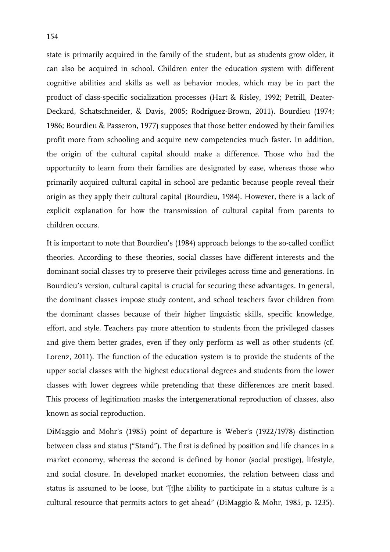state is primarily acquired in the family of the student, but as students grow older, it can also be acquired in school. Children enter the education system with different cognitive abilities and skills as well as behavior modes, which may be in part the product of class-specific socialization processes (Hart & Risley, 1992; Petrill, Deater-Deckard, Schatschneider, & Davis, 2005; Rodríguez-Brown, 2011). Bourdieu (1974; 1986; Bourdieu & Passeron, 1977) supposes that those better endowed by their families profit more from schooling and acquire new competencies much faster. In addition, the origin of the cultural capital should make a difference. Those who had the opportunity to learn from their families are designated by ease, whereas those who primarily acquired cultural capital in school are pedantic because people reveal their origin as they apply their cultural capital (Bourdieu, 1984). However, there is a lack of explicit explanation for how the transmission of cultural capital from parents to children occurs.

It is important to note that Bourdieu's (1984) approach belongs to the so-called conflict theories. According to these theories, social classes have different interests and the dominant social classes try to preserve their privileges across time and generations. In Bourdieu's version, cultural capital is crucial for securing these advantages. In general, the dominant classes impose study content, and school teachers favor children from the dominant classes because of their higher linguistic skills, specific knowledge, effort, and style. Teachers pay more attention to students from the privileged classes and give them better grades, even if they only perform as well as other students (cf. Lorenz, 2011). The function of the education system is to provide the students of the upper social classes with the highest educational degrees and students from the lower classes with lower degrees while pretending that these differences are merit based. This process of legitimation masks the intergenerational reproduction of classes, also known as social reproduction.

DiMaggio and Mohr's (1985) point of departure is Weber's (1922/1978) distinction between class and status ("Stand"). The first is defined by position and life chances in a market economy, whereas the second is defined by honor (social prestige), lifestyle, and social closure. In developed market economies, the relation between class and status is assumed to be loose, but "[t]he ability to participate in a status culture is a cultural resource that permits actors to get ahead" (DiMaggio & Mohr, 1985, p. 1235).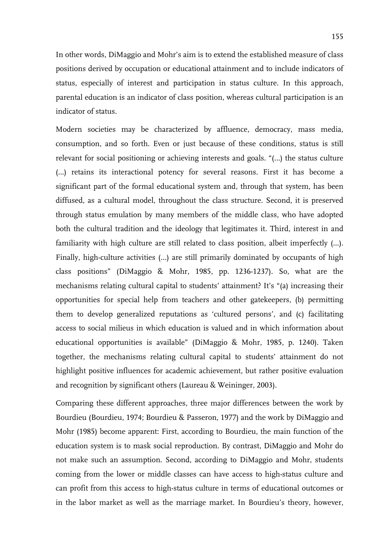In other words, DiMaggio and Mohr's aim is to extend the established measure of class positions derived by occupation or educational attainment and to include indicators of status, especially of interest and participation in status culture. In this approach, parental education is an indicator of class position, whereas cultural participation is an indicator of status.

Modern societies may be characterized by affluence, democracy, mass media, consumption, and so forth. Even or just because of these conditions, status is still relevant for social positioning or achieving interests and goals. "(…) the status culture (…) retains its interactional potency for several reasons. First it has become a significant part of the formal educational system and, through that system, has been diffused, as a cultural model, throughout the class structure. Second, it is preserved through status emulation by many members of the middle class, who have adopted both the cultural tradition and the ideology that legitimates it. Third, interest in and familiarity with high culture are still related to class position, albeit imperfectly (…). Finally, high-culture activities (…) are still primarily dominated by occupants of high class positions" (DiMaggio & Mohr, 1985, pp. 1236-1237). So, what are the mechanisms relating cultural capital to students' attainment? It's "(a) increasing their opportunities for special help from teachers and other gatekeepers, (b) permitting them to develop generalized reputations as 'cultured persons', and (c) facilitating access to social milieus in which education is valued and in which information about educational opportunities is available" (DiMaggio & Mohr, 1985, p. 1240). Taken together, the mechanisms relating cultural capital to students' attainment do not highlight positive influences for academic achievement, but rather positive evaluation and recognition by significant others (Laureau & Weininger, 2003).

Comparing these different approaches, three major differences between the work by Bourdieu (Bourdieu, 1974; Bourdieu & Passeron, 1977) and the work by DiMaggio and Mohr (1985) become apparent: First, according to Bourdieu, the main function of the education system is to mask social reproduction. By contrast, DiMaggio and Mohr do not make such an assumption. Second, according to DiMaggio and Mohr, students coming from the lower or middle classes can have access to high-status culture and can profit from this access to high-status culture in terms of educational outcomes or in the labor market as well as the marriage market. In Bourdieu's theory, however,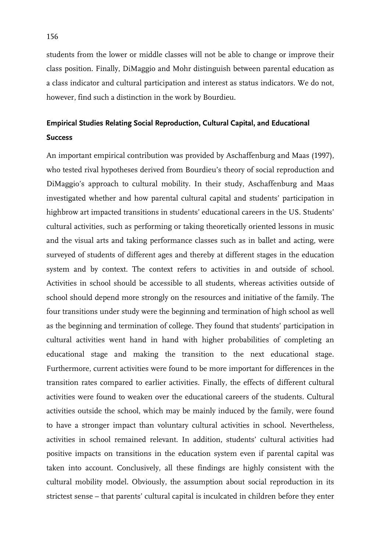students from the lower or middle classes will not be able to change or improve their class position. Finally, DiMaggio and Mohr distinguish between parental education as a class indicator and cultural participation and interest as status indicators. We do not, however, find such a distinction in the work by Bourdieu.

## **Empirical Studies Relating Social Reproduction, Cultural Capital, and Educational Success**

An important empirical contribution was provided by Aschaffenburg and Maas (1997), who tested rival hypotheses derived from Bourdieu's theory of social reproduction and DiMaggio's approach to cultural mobility. In their study, Aschaffenburg and Maas investigated whether and how parental cultural capital and students' participation in highbrow art impacted transitions in students' educational careers in the US. Students' cultural activities, such as performing or taking theoretically oriented lessons in music and the visual arts and taking performance classes such as in ballet and acting, were surveyed of students of different ages and thereby at different stages in the education system and by context. The context refers to activities in and outside of school. Activities in school should be accessible to all students, whereas activities outside of school should depend more strongly on the resources and initiative of the family. The four transitions under study were the beginning and termination of high school as well as the beginning and termination of college. They found that students' participation in cultural activities went hand in hand with higher probabilities of completing an educational stage and making the transition to the next educational stage. Furthermore, current activities were found to be more important for differences in the transition rates compared to earlier activities. Finally, the effects of different cultural activities were found to weaken over the educational careers of the students. Cultural activities outside the school, which may be mainly induced by the family, were found to have a stronger impact than voluntary cultural activities in school. Nevertheless, activities in school remained relevant. In addition, students' cultural activities had positive impacts on transitions in the education system even if parental capital was taken into account. Conclusively, all these findings are highly consistent with the cultural mobility model. Obviously, the assumption about social reproduction in its strictest sense – that parents' cultural capital is inculcated in children before they enter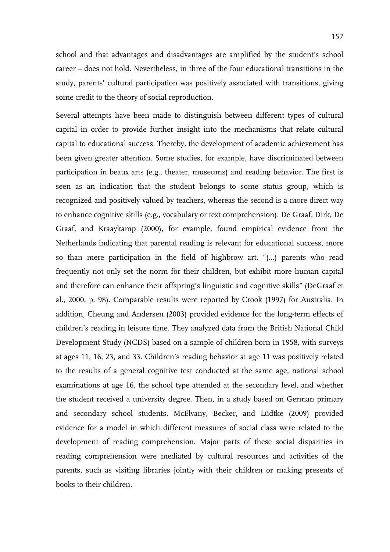school and that advantages and disadvantages are amplified by the student's school career – does not hold. Nevertheless, in three of the four educational transitions in the study, parents' cultural participation was positively associated with transitions, giving some credit to the theory of social reproduction.

Several attempts have been made to distinguish between different types of cultural capital in order to provide further insight into the mechanisms that relate cultural capital to educational success. Thereby, the development of academic achievement has been given greater attention. Some studies, for example, have discriminated between participation in beaux arts (e.g., theater, museums) and reading behavior. The first is seen as an indication that the student belongs to some status group, which is recognized and positively valued by teachers, whereas the second is a more direct way to enhance cognitive skills (e.g., vocabulary or text comprehension). De Graaf, Dirk, De Graaf, and Kraaykamp (2000), for example, found empirical evidence from the Netherlands indicating that parental reading is relevant for educational success, more so than mere participation in the field of highbrow art. "(…) parents who read frequently not only set the norm for their children, but exhibit more human capital and therefore can enhance their offspring's linguistic and cognitive skills" (DeGraaf et al., 2000, p. 98). Comparable results were reported by Crook (1997) for Australia. In addition, Cheung and Andersen (2003) provided evidence for the long-term effects of children's reading in leisure time. They analyzed data from the British National Child Development Study (NCDS) based on a sample of children born in 1958, with surveys at ages 11, 16, 23, and 33. Children's reading behavior at age 11 was positively related to the results of a general cognitive test conducted at the same age, national school examinations at age 16, the school type attended at the secondary level, and whether the student received a university degree. Then, in a study based on German primary and secondary school students, McElvany, Becker, and Lüdtke (2009) provided evidence for a model in which different measures of social class were related to the development of reading comprehension. Major parts of these social disparities in reading comprehension were mediated by cultural resources and activities of the parents, such as visiting libraries jointly with their children or making presents of books to their children.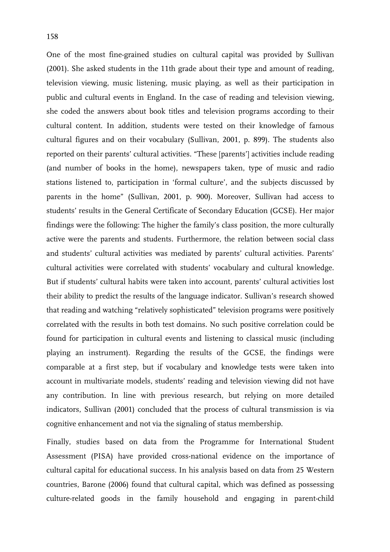One of the most fine-grained studies on cultural capital was provided by Sullivan (2001). She asked students in the 11th grade about their type and amount of reading, television viewing, music listening, music playing, as well as their participation in public and cultural events in England. In the case of reading and television viewing, she coded the answers about book titles and television programs according to their cultural content. In addition, students were tested on their knowledge of famous cultural figures and on their vocabulary (Sullivan, 2001, p. 899). The students also reported on their parents' cultural activities. "These [parents'] activities include reading (and number of books in the home), newspapers taken, type of music and radio stations listened to, participation in 'formal culture', and the subjects discussed by parents in the home" (Sullivan, 2001, p. 900). Moreover, Sullivan had access to students' results in the General Certificate of Secondary Education (GCSE). Her major findings were the following: The higher the family's class position, the more culturally active were the parents and students. Furthermore, the relation between social class and students' cultural activities was mediated by parents' cultural activities. Parents' cultural activities were correlated with students' vocabulary and cultural knowledge. But if students' cultural habits were taken into account, parents' cultural activities lost their ability to predict the results of the language indicator. Sullivan's research showed that reading and watching "relatively sophisticated" television programs were positively correlated with the results in both test domains. No such positive correlation could be found for participation in cultural events and listening to classical music (including playing an instrument). Regarding the results of the GCSE, the findings were comparable at a first step, but if vocabulary and knowledge tests were taken into account in multivariate models, students' reading and television viewing did not have any contribution. In line with previous research, but relying on more detailed indicators, Sullivan (2001) concluded that the process of cultural transmission is via cognitive enhancement and not via the signaling of status membership.

Finally, studies based on data from the Programme for International Student Assessment (PISA) have provided cross-national evidence on the importance of cultural capital for educational success. In his analysis based on data from 25 Western countries, Barone (2006) found that cultural capital, which was defined as possessing culture-related goods in the family household and engaging in parent-child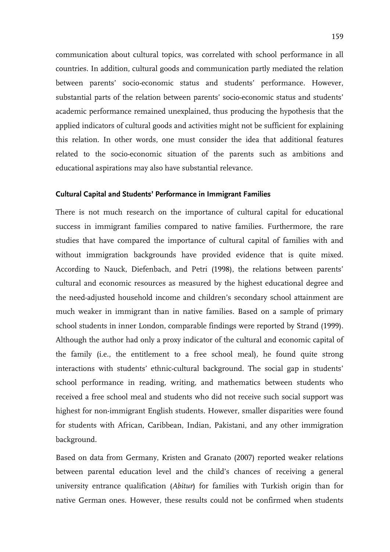communication about cultural topics, was correlated with school performance in all countries. In addition, cultural goods and communication partly mediated the relation between parents' socio-economic status and students' performance. However, substantial parts of the relation between parents' socio-economic status and students' academic performance remained unexplained, thus producing the hypothesis that the applied indicators of cultural goods and activities might not be sufficient for explaining this relation. In other words, one must consider the idea that additional features related to the socio-economic situation of the parents such as ambitions and educational aspirations may also have substantial relevance.

#### **Cultural Capital and Students' Performance in Immigrant Families**

There is not much research on the importance of cultural capital for educational success in immigrant families compared to native families. Furthermore, the rare studies that have compared the importance of cultural capital of families with and without immigration backgrounds have provided evidence that is quite mixed. According to Nauck, Diefenbach, and Petri (1998), the relations between parents' cultural and economic resources as measured by the highest educational degree and the need-adjusted household income and children's secondary school attainment are much weaker in immigrant than in native families. Based on a sample of primary school students in inner London, comparable findings were reported by Strand (1999). Although the author had only a proxy indicator of the cultural and economic capital of the family (i.e., the entitlement to a free school meal), he found quite strong interactions with students' ethnic-cultural background. The social gap in students' school performance in reading, writing, and mathematics between students who received a free school meal and students who did not receive such social support was highest for non-immigrant English students. However, smaller disparities were found for students with African, Caribbean, Indian, Pakistani, and any other immigration background.

Based on data from Germany, Kristen and Granato (2007) reported weaker relations between parental education level and the child's chances of receiving a general university entrance qualification (*Abitur*) for families with Turkish origin than for native German ones. However, these results could not be confirmed when students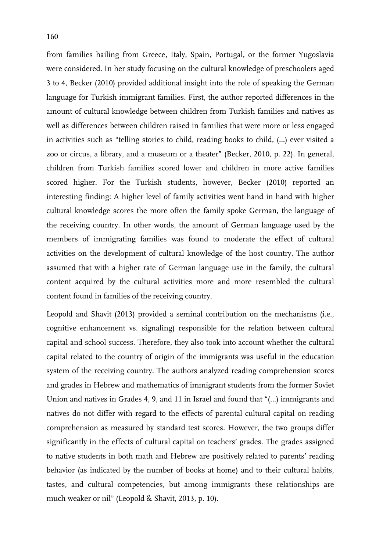from families hailing from Greece, Italy, Spain, Portugal, or the former Yugoslavia were considered. In her study focusing on the cultural knowledge of preschoolers aged 3 to 4, Becker (2010) provided additional insight into the role of speaking the German language for Turkish immigrant families. First, the author reported differences in the amount of cultural knowledge between children from Turkish families and natives as well as differences between children raised in families that were more or less engaged in activities such as "telling stories to child, reading books to child, (…) ever visited a zoo or circus, a library, and a museum or a theater" (Becker, 2010, p. 22). In general, children from Turkish families scored lower and children in more active families scored higher. For the Turkish students, however, Becker (2010) reported an interesting finding: A higher level of family activities went hand in hand with higher cultural knowledge scores the more often the family spoke German, the language of the receiving country. In other words, the amount of German language used by the members of immigrating families was found to moderate the effect of cultural activities on the development of cultural knowledge of the host country. The author assumed that with a higher rate of German language use in the family, the cultural content acquired by the cultural activities more and more resembled the cultural content found in families of the receiving country.

Leopold and Shavit (2013) provided a seminal contribution on the mechanisms (i.e., cognitive enhancement vs. signaling) responsible for the relation between cultural capital and school success. Therefore, they also took into account whether the cultural capital related to the country of origin of the immigrants was useful in the education system of the receiving country. The authors analyzed reading comprehension scores and grades in Hebrew and mathematics of immigrant students from the former Soviet Union and natives in Grades 4, 9, and 11 in Israel and found that "(…) immigrants and natives do not differ with regard to the effects of parental cultural capital on reading comprehension as measured by standard test scores. However, the two groups differ significantly in the effects of cultural capital on teachers' grades. The grades assigned to native students in both math and Hebrew are positively related to parents' reading behavior (as indicated by the number of books at home) and to their cultural habits, tastes, and cultural competencies, but among immigrants these relationships are much weaker or nil" (Leopold & Shavit, 2013, p. 10).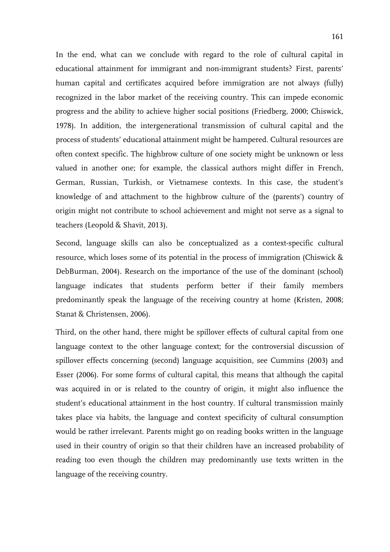In the end, what can we conclude with regard to the role of cultural capital in educational attainment for immigrant and non-immigrant students? First, parents' human capital and certificates acquired before immigration are not always (fully) recognized in the labor market of the receiving country. This can impede economic progress and the ability to achieve higher social positions (Friedberg, 2000; Chiswick, 1978). In addition, the intergenerational transmission of cultural capital and the process of students' educational attainment might be hampered. Cultural resources are often context specific. The highbrow culture of one society might be unknown or less valued in another one; for example, the classical authors might differ in French, German, Russian, Turkish, or Vietnamese contexts. In this case, the student's knowledge of and attachment to the highbrow culture of the (parents') country of origin might not contribute to school achievement and might not serve as a signal to teachers (Leopold & Shavit, 2013).

Second, language skills can also be conceptualized as a context-specific cultural resource, which loses some of its potential in the process of immigration (Chiswick & DebBurman, 2004). Research on the importance of the use of the dominant (school) language indicates that students perform better if their family members predominantly speak the language of the receiving country at home (Kristen, 2008; Stanat & Christensen, 2006).

Third, on the other hand, there might be spillover effects of cultural capital from one language context to the other language context; for the controversial discussion of spillover effects concerning (second) language acquisition, see Cummins (2003) and Esser (2006). For some forms of cultural capital, this means that although the capital was acquired in or is related to the country of origin, it might also influence the student's educational attainment in the host country. If cultural transmission mainly takes place via habits, the language and context specificity of cultural consumption would be rather irrelevant. Parents might go on reading books written in the language used in their country of origin so that their children have an increased probability of reading too even though the children may predominantly use texts written in the language of the receiving country.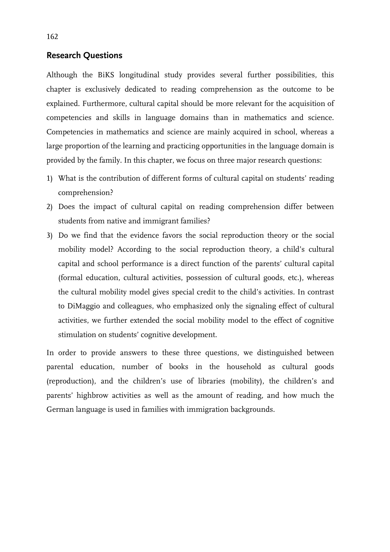### **Research Questions**

Although the BiKS longitudinal study provides several further possibilities, this chapter is exclusively dedicated to reading comprehension as the outcome to be explained. Furthermore, cultural capital should be more relevant for the acquisition of competencies and skills in language domains than in mathematics and science. Competencies in mathematics and science are mainly acquired in school, whereas a large proportion of the learning and practicing opportunities in the language domain is provided by the family. In this chapter, we focus on three major research questions:

- 1) What is the contribution of different forms of cultural capital on students' reading comprehension?
- 2) Does the impact of cultural capital on reading comprehension differ between students from native and immigrant families?
- 3) Do we find that the evidence favors the social reproduction theory or the social mobility model? According to the social reproduction theory, a child's cultural capital and school performance is a direct function of the parents' cultural capital (formal education, cultural activities, possession of cultural goods, etc.), whereas the cultural mobility model gives special credit to the child's activities. In contrast to DiMaggio and colleagues, who emphasized only the signaling effect of cultural activities, we further extended the social mobility model to the effect of cognitive stimulation on students' cognitive development.

In order to provide answers to these three questions, we distinguished between parental education, number of books in the household as cultural goods (reproduction), and the children's use of libraries (mobility), the children's and parents' highbrow activities as well as the amount of reading, and how much the German language is used in families with immigration backgrounds.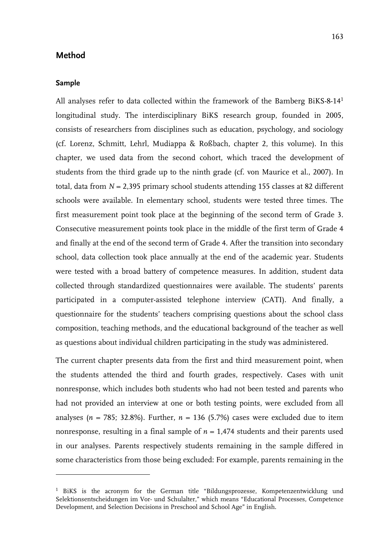#### **Method**

#### **Sample**

-

All analyses refer to data collected within the framework of the Bamberg BiKS-8-141 longitudinal study. The interdisciplinary BiKS research group, founded in 2005, consists of researchers from disciplines such as education, psychology, and sociology (cf. Lorenz, Schmitt, Lehrl, Mudiappa & Roßbach, chapter 2, this volume). In this chapter, we used data from the second cohort, which traced the development of students from the third grade up to the ninth grade (cf. von Maurice et al., 2007). In total, data from *N* = 2,395 primary school students attending 155 classes at 82 different schools were available. In elementary school, students were tested three times. The first measurement point took place at the beginning of the second term of Grade 3. Consecutive measurement points took place in the middle of the first term of Grade 4 and finally at the end of the second term of Grade 4. After the transition into secondary school, data collection took place annually at the end of the academic year. Students were tested with a broad battery of competence measures. In addition, student data collected through standardized questionnaires were available. The students' parents participated in a computer-assisted telephone interview (CATI). And finally, a questionnaire for the students' teachers comprising questions about the school class composition, teaching methods, and the educational background of the teacher as well as questions about individual children participating in the study was administered.

The current chapter presents data from the first and third measurement point, when the students attended the third and fourth grades, respectively. Cases with unit nonresponse, which includes both students who had not been tested and parents who had not provided an interview at one or both testing points, were excluded from all analyses ( $n = 785$ ; 32.8%). Further,  $n = 136$  (5.7%) cases were excluded due to item nonresponse, resulting in a final sample of  $n = 1.474$  students and their parents used in our analyses. Parents respectively students remaining in the sample differed in some characteristics from those being excluded: For example, parents remaining in the

<sup>&</sup>lt;sup>1</sup> BiKS is the acronym for the German title "Bildungsprozesse, Kompetenzentwicklung und Selektionsentscheidungen im Vor- und Schulalter," which means "Educational Processes, Competence Development, and Selection Decisions in Preschool and School Age" in English.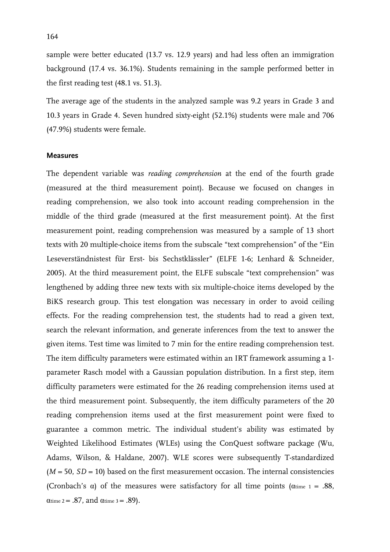sample were better educated (13.7 vs. 12.9 years) and had less often an immigration background (17.4 vs. 36.1%). Students remaining in the sample performed better in the first reading test (48.1 vs. 51.3).

The average age of the students in the analyzed sample was 9.2 years in Grade 3 and 10.3 years in Grade 4. Seven hundred sixty-eight (52.1%) students were male and 706 (47.9%) students were female.

#### **Measures**

The dependent variable was *reading comprehension* at the end of the fourth grade (measured at the third measurement point). Because we focused on changes in reading comprehension, we also took into account reading comprehension in the middle of the third grade (measured at the first measurement point). At the first measurement point, reading comprehension was measured by a sample of 13 short texts with 20 multiple-choice items from the subscale "text comprehension" of the "Ein Leseverständnistest für Erst- bis Sechstklässler" (ELFE 1-6; Lenhard & Schneider, 2005). At the third measurement point, the ELFE subscale "text comprehension" was lengthened by adding three new texts with six multiple-choice items developed by the BiKS research group. This test elongation was necessary in order to avoid ceiling effects. For the reading comprehension test, the students had to read a given text, search the relevant information, and generate inferences from the text to answer the given items. Test time was limited to 7 min for the entire reading comprehension test. The item difficulty parameters were estimated within an IRT framework assuming a 1 parameter Rasch model with a Gaussian population distribution. In a first step, item difficulty parameters were estimated for the 26 reading comprehension items used at the third measurement point. Subsequently, the item difficulty parameters of the 20 reading comprehension items used at the first measurement point were fixed to guarantee a common metric. The individual student's ability was estimated by Weighted Likelihood Estimates (WLEs) using the ConQuest software package (Wu, Adams, Wilson, & Haldane, 2007). WLE scores were subsequently T-standardized  $(M = 50, SD = 10)$  based on the first measurement occasion. The internal consistencies (Cronbach's  $\alpha$ ) of the measures were satisfactory for all time points ( $\alpha$ time 1 = .88,  $\alpha$ time 2 = .87, and  $\alpha$ time 3 = .89).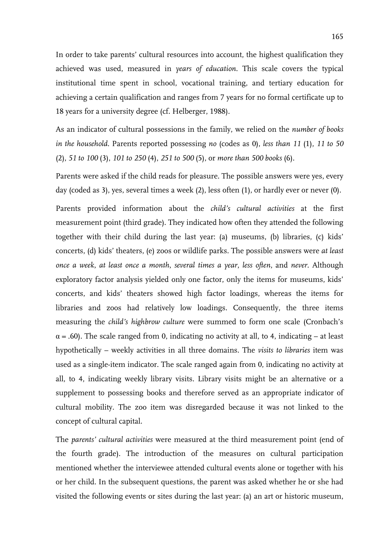In order to take parents' cultural resources into account, the highest qualification they achieved was used, measured in *years of education*. This scale covers the typical institutional time spent in school, vocational training, and tertiary education for achieving a certain qualification and ranges from 7 years for no formal certificate up to 18 years for a university degree (cf. Helberger, 1988).

As an indicator of cultural possessions in the family, we relied on the *number of books in the household*. Parents reported possessing *no* (codes as 0), *less than 11* (1), *11 to 50* (2), *51 to 100* (3), *101 to 250* (4), *251 to 500* (5), or *more than 500 books* (6).

Parents were asked if the child reads for pleasure. The possible answers were yes, every day (coded as 3), yes, several times a week (2), less often (1), or hardly ever or never (0).

Parents provided information about the *child's cultural activities* at the first measurement point (third grade). They indicated how often they attended the following together with their child during the last year: (a) museums, (b) libraries, (c) kids' concerts, (d) kids' theaters, (e) zoos or wildlife parks. The possible answers were *at least once a week*, *at least once a month*, *several times a year*, *less often*, and *never*. Although exploratory factor analysis yielded only one factor, only the items for museums, kids' concerts, and kids' theaters showed high factor loadings, whereas the items for libraries and zoos had relatively low loadings. Consequently, the three items measuring the *child's highbrow culture* were summed to form one scale (Cronbach's  $\alpha$  = .60). The scale ranged from 0, indicating no activity at all, to 4, indicating – at least hypothetically – weekly activities in all three domains. The *visits to libraries* item was used as a single-item indicator. The scale ranged again from 0, indicating no activity at all, to 4, indicating weekly library visits. Library visits might be an alternative or a supplement to possessing books and therefore served as an appropriate indicator of cultural mobility. The zoo item was disregarded because it was not linked to the concept of cultural capital.

The *parents' cultural activities* were measured at the third measurement point (end of the fourth grade). The introduction of the measures on cultural participation mentioned whether the interviewee attended cultural events alone or together with his or her child. In the subsequent questions, the parent was asked whether he or she had visited the following events or sites during the last year: (a) an art or historic museum,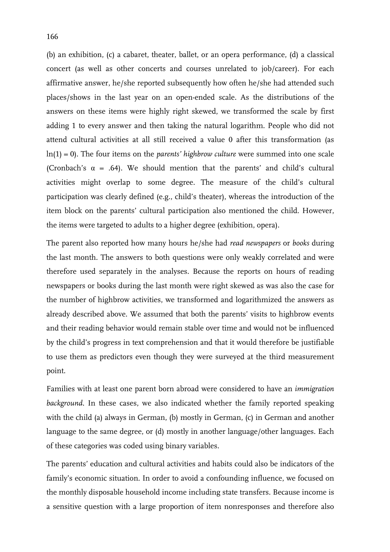(b) an exhibition, (c) a cabaret, theater, ballet, or an opera performance, (d) a classical concert (as well as other concerts and courses unrelated to job/career). For each affirmative answer, he/she reported subsequently how often he/she had attended such places/shows in the last year on an open-ended scale. As the distributions of the answers on these items were highly right skewed, we transformed the scale by first adding 1 to every answer and then taking the natural logarithm. People who did not attend cultural activities at all still received a value 0 after this transformation (as ln(1) = 0). The four items on the *parents' highbrow culture* were summed into one scale (Cronbach's  $\alpha$  = .64). We should mention that the parents' and child's cultural activities might overlap to some degree. The measure of the child's cultural participation was clearly defined (e.g., child's theater), whereas the introduction of the item block on the parents' cultural participation also mentioned the child. However, the items were targeted to adults to a higher degree (exhibition, opera).

The parent also reported how many hours he/she had *read newspapers* or *books* during the last month. The answers to both questions were only weakly correlated and were therefore used separately in the analyses. Because the reports on hours of reading newspapers or books during the last month were right skewed as was also the case for the number of highbrow activities, we transformed and logarithmized the answers as already described above. We assumed that both the parents' visits to highbrow events and their reading behavior would remain stable over time and would not be influenced by the child's progress in text comprehension and that it would therefore be justifiable to use them as predictors even though they were surveyed at the third measurement point.

Families with at least one parent born abroad were considered to have an *immigration background*. In these cases, we also indicated whether the family reported speaking with the child (a) always in German, (b) mostly in German, (c) in German and another language to the same degree, or (d) mostly in another language/other languages. Each of these categories was coded using binary variables.

The parents' education and cultural activities and habits could also be indicators of the family's economic situation. In order to avoid a confounding influence, we focused on the monthly disposable household income including state transfers. Because income is a sensitive question with a large proportion of item nonresponses and therefore also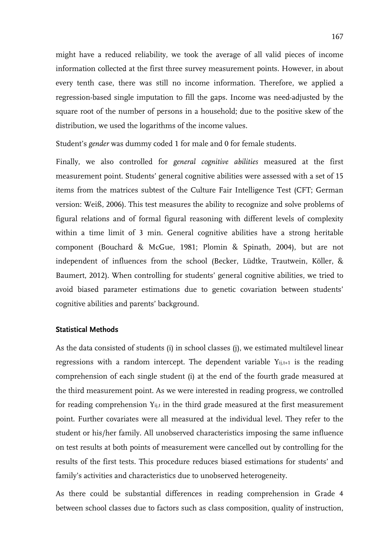might have a reduced reliability, we took the average of all valid pieces of income information collected at the first three survey measurement points. However, in about every tenth case, there was still no income information. Therefore, we applied a regression-based single imputation to fill the gaps. Income was need-adjusted by the square root of the number of persons in a household; due to the positive skew of the distribution, we used the logarithms of the income values.

Student's *gender* was dummy coded 1 for male and 0 for female students.

Finally, we also controlled for *general cognitive abilities* measured at the first measurement point. Students' general cognitive abilities were assessed with a set of 15 items from the matrices subtest of the Culture Fair Intelligence Test (CFT; German version: Weiß, 2006). This test measures the ability to recognize and solve problems of figural relations and of formal figural reasoning with different levels of complexity within a time limit of 3 min. General cognitive abilities have a strong heritable component (Bouchard & McGue, 1981; Plomin & Spinath, 2004), but are not independent of influences from the school (Becker, Lüdtke, Trautwein, Köller, & Baumert, 2012). When controlling for students' general cognitive abilities, we tried to avoid biased parameter estimations due to genetic covariation between students' cognitive abilities and parents' background.

#### **Statistical Methods**

As the data consisted of students (i) in school classes (j), we estimated multilevel linear regressions with a random intercept. The dependent variable  $Y_{i,j,t+1}$  is the reading comprehension of each single student (i) at the end of the fourth grade measured at the third measurement point. As we were interested in reading progress, we controlled for reading comprehension Y<sub>ij,t</sub> in the third grade measured at the first measurement point. Further covariates were all measured at the individual level. They refer to the student or his/her family. All unobserved characteristics imposing the same influence on test results at both points of measurement were cancelled out by controlling for the results of the first tests. This procedure reduces biased estimations for students' and family's activities and characteristics due to unobserved heterogeneity.

As there could be substantial differences in reading comprehension in Grade 4 between school classes due to factors such as class composition, quality of instruction,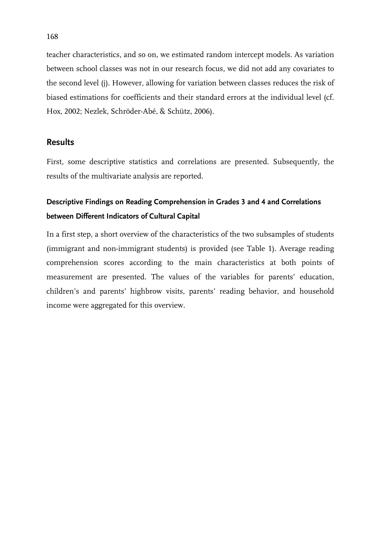teacher characteristics, and so on, we estimated random intercept models. As variation between school classes was not in our research focus, we did not add any covariates to the second level (j). However, allowing for variation between classes reduces the risk of biased estimations for coefficients and their standard errors at the individual level (cf. Hox, 2002; Nezlek, Schröder-Abé, & Schütz, 2006).

## **Results**

First, some descriptive statistics and correlations are presented. Subsequently, the results of the multivariate analysis are reported.

## **Descriptive Findings on Reading Comprehension in Grades 3 and 4 and Correlations between Different Indicators of Cultural Capital**

In a first step, a short overview of the characteristics of the two subsamples of students (immigrant and non-immigrant students) is provided (see Table 1). Average reading comprehension scores according to the main characteristics at both points of measurement are presented. The values of the variables for parents' education, children's and parents' highbrow visits, parents' reading behavior, and household income were aggregated for this overview.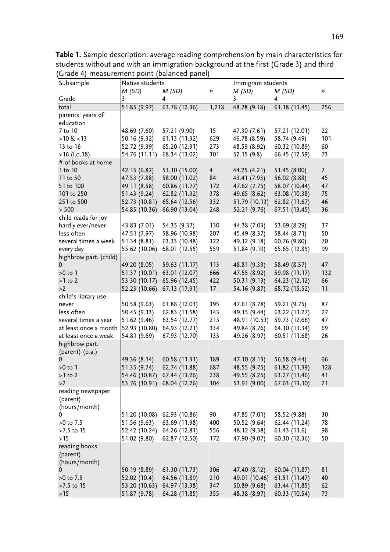| siaac<br>measurement point (balanced panel)<br>Immigrant students<br>Native students |                             |                                |                  |                               |                                |                  |
|--------------------------------------------------------------------------------------|-----------------------------|--------------------------------|------------------|-------------------------------|--------------------------------|------------------|
| Subsample                                                                            | M(SD)                       | M(SD)                          | $\boldsymbol{n}$ | M(SD)                         | M(SD)                          | $\boldsymbol{n}$ |
| Grade                                                                                | 3                           | 4                              |                  | 3                             | 4                              |                  |
| total                                                                                | 51.85 (9.97)                | 63.78 (12.36)                  | 1,218            | 48.78 (9.18)                  | 61.18 (11.45)                  | 256              |
| parents' years of                                                                    |                             |                                |                  |                               |                                |                  |
| education                                                                            |                             |                                |                  |                               |                                |                  |
| 7 to 10                                                                              | 48.69 (7.60)                | 57.21 (9.90)                   | 15 <sub>15</sub> | 47.30 (7.61)                  | 57.21 (12.01)                  | 22               |
| $>10 \< 13$                                                                          | 50.16 (9.32)                | 61.13 (11.32)                  | 629              | 46.78 (8.59)                  | 58.74 (9.49)                   | 101              |
| 13 to 16                                                                             | 52.72 (9.39)                | 65.20 (12.31)                  | 273              | 48.59 (8.92)                  | 60.32 (10.89)                  | 60               |
| $>16$ (i.d. 18)                                                                      | 54.76 (11.11)               | 68.34 (13.02)                  | 301              | 52.15 (9.8)                   | 66.45 (12.59)                  | 73               |
| # of books at home                                                                   |                             |                                |                  |                               |                                |                  |
| 1 to 10                                                                              | 42.15 (6.82)                | 51.10 (15.00)                  | $\overline{4}$   | 44.25 (4.21)                  | 51.45 (8.00)                   | 7 <sup>7</sup>   |
| 11 to 50                                                                             | 47.53 (7.88)                | 58.00 (11.02)                  | 84               | 43.41 (7.93)                  | 56.02 (8.88)                   | 45               |
| 51 to 100                                                                            | 49.11 (8.58)                | 60.86 (11.77)                  | 172              | 47.62 (7.75)                  | 58.07 (10.44)                  | 47               |
| 101 to 250                                                                           | 51.43 (9.24)                | 62.82 (11.32)                  | 378              | 49.65 (8.62)                  | 63.08 (10.38)                  | 75               |
| 251 to 500                                                                           | 52.73 (10.81)               | 65.64 (12.56)                  | 332              | 51.79 (10.13)                 | 62.82 (11.67)                  | 46               |
| > 500                                                                                | 54.85 (10.36)               | 66.90 (13.04)                  | 248              | 52.21 (9.76)                  | 67.51 (13.45)                  | 36               |
| child reads for joy                                                                  |                             |                                |                  |                               |                                |                  |
| hardly ever/never                                                                    | 43.83 (7.01)                | 54.35 (9.37)                   | 130              | 44.38 (7.03)                  | 53.69 (8.29)                   | 37               |
| less often                                                                           | 47.51 (7.97)                | 58.96 (10.98)                  | 207              | 45.49 (8.37)                  | 58.44 (8.71)                   | 50               |
| several times a week                                                                 | 51.34(8.81)                 | 63.33 (10.48)                  | 322              | 49.12 (9.18)                  | 60.76 (9.80)                   | 70               |
| every day                                                                            | 55.62 (10.06)               | 68.01 (12.55)                  | 559              | 51.84 (9.19)                  | 65.65 (12.85)                  | 99               |
| highbrow part. (child)                                                               |                             |                                |                  |                               |                                |                  |
| 0                                                                                    | 49.20 (8.05)                | 59.63 (11.17)                  | 113              | 48.81 (9.33)                  | 58.49 (8.57)                   | 47               |
| $>0$ to 1                                                                            | 51.37 (10.01)               | 63.01 (12.07)                  | 666              | 47.55 (8.92)                  | 59.98 (11.17)                  | 132              |
| $>1$ to 2                                                                            | 53.30 (10.17)               | 65.96 (12.45)                  | 422              | 50.31(9.13)                   | 64.23 (12.12)                  | 66               |
| >2                                                                                   | 52.23 (10.66)               | 67.13 (17.91)                  | 17               | 54.16 (9.87)                  | 68.72 (15.52)                  | 11               |
| child's library use                                                                  |                             |                                |                  |                               |                                |                  |
| never                                                                                | 50.58 (9.63)                | 61.88 (12.03)                  | 395              | 47.61 (8.78)                  | 59.21 (9.75)                   | 87               |
| less often<br>several times a year                                                   | 50.45(9.13)<br>51.62 (9.46) | 62.83 (11.58)<br>63.54 (12.77) | 143<br>213       | 49.15 (9.44)<br>48.91 (10.53) | 63.22 (13.27)<br>59.73 (12.66) | 27<br>47         |
| at least once a month                                                                | 52.93 (10.80)               | 64.93 (12.21)                  | 334              | 49.84 (8.76)                  | 64.10 (11.34)                  | 69               |
| at least once a weak                                                                 | 54.81 (9.69)                | 67.93 (12.70)                  | 133              | 49.26 (8.97)                  | 60.51 (11.68)                  | 26               |
| highbrow part.                                                                       |                             |                                |                  |                               |                                |                  |
| (parent) (p.a.)                                                                      |                             |                                |                  |                               |                                |                  |
| 0                                                                                    | 49.36 (8.14)                | 60.58 (11.31)                  | 189              | 47.10 (8.13)                  | 56.58 (9.44)                   | 66               |
| $>0$ to 1                                                                            | 51.35 (9.74)                | 62.74 (11.88)                  | 687              | 48.55 (9.75)                  | 61.82 (11.39)                  | 128              |
| $>1$ to 2                                                                            |                             | 54.46 (10.87) 67.44 (13.26)    | 238              | 49.55 (8.25)                  | 63.27 (11.46)                  | 41               |
| >2                                                                                   |                             | 53.76 (10.91) 68.04 (12.26)    | 104              | 53.91 (9.00)                  | 67.63 (13.10)                  | 21               |
| reading newspaper                                                                    |                             |                                |                  |                               |                                |                  |
| (parent)                                                                             |                             |                                |                  |                               |                                |                  |
| (hours/month)                                                                        |                             |                                |                  |                               |                                |                  |
| 0                                                                                    |                             | 51.20 (10.08) 62.93 (10.86)    | 90               | 47.85 (7.01)                  | 58.52 (9.88)                   | 30               |
| $>0$ to 7.5                                                                          | 51.56 (9.63)                | 63.69 (11.98)                  | 400              | 50.52 (9.64)                  | 62.44 (11.24)                  | 78               |
| $>7.5$ to 15                                                                         |                             | 52.42 (10.24) 64.26 (12.81)    | 556              | 48.12 (9.38)                  | 61.43(11.6)                    | 98               |
| >15                                                                                  | 51.02 (9.80)                | 62.87 (12.50)                  | 172              | 47.90 (9.07)                  | 60.30 (12.36)                  | 50               |
| reading books                                                                        |                             |                                |                  |                               |                                |                  |
| (parent)                                                                             |                             |                                |                  |                               |                                |                  |
| (hours/month)                                                                        |                             |                                |                  |                               |                                |                  |
|                                                                                      | 50.19 (8.89)                | 61.30 (11.73)                  | 306              | 47.40 (8.12)                  | 60.04 (11.87)                  | 81               |
| $>0$ to 7.5                                                                          | 52.02 (10.4)                | 64.56 (11.89)                  | 210              | 49.01 (10.46)                 | 61.51 (11.47)                  | 40               |
| >7.5 to 15                                                                           | 53.20 (10.63)               | 64.97 (13.38)                  | 347              | 50.89 (9.68)                  | 63.44 (11.85)                  | 62               |
| >15                                                                                  | 51.87 (9.78)                | 64.28 (11.85)                  | 355              | 48.38 (8.97)                  | 60.33 (10.54)                  | 73               |

**Table 1.** Sample description: average reading comprehension by main characteristics for students without and with an immigration background at the first (Grade 3) and third (Grade 4) measurement point (balanced panel)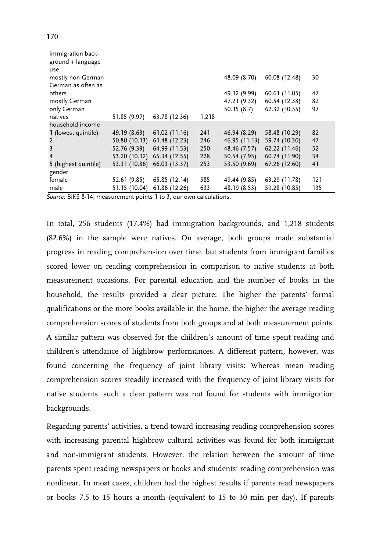| immigration back-<br>ground + language<br>use |                             |               |       |               |               |     |
|-----------------------------------------------|-----------------------------|---------------|-------|---------------|---------------|-----|
| mostly non-German<br>German as often as       |                             |               |       | 48.09 (8.70)  | 60.08 (12.48) | 30  |
| others                                        |                             |               |       | 49.12 (9.99)  | 60.61 (11.05) | 47  |
| mostly German                                 |                             |               |       | 47.21 (9.32)  | 60.54 (12.38) | 82  |
| only German                                   |                             |               |       | 50.15(8.7)    | 62.32 (10.55) | 97  |
| natives                                       | 51.85 (9.97)                | 63.78 (12.36) | 1,218 |               |               |     |
| household income                              |                             |               |       |               |               |     |
| 1 (lowest quintile)                           | 49.19 (8.63)                | 61.02(11.16)  | 241   | 46.94 (8.29)  | 58.48 (10.29) | 82  |
| $\overline{2}$                                | 50.80 (10.13)               | 61.48 (12.23) | 246   | 46.95 (11.13) | 59.74 (10.30) | 47  |
| $\overline{3}$                                | 52.76 (9.39)                | 64.99 (11.53) | 250   | 48.46 (7.57)  | 62.22 (11.46) | 52  |
| 4                                             | 53.20 (10.12) 65.34 (12.55) |               | 228   | 50.54 (7.95)  | 60.74 (11.90) | 34  |
| 5 (highest quintile)                          | 53.31 (10.86) 66.03 (13.37) |               | 253   | 53.50 (9.69)  | 67.26 (12.60) | 41  |
| gender                                        |                             |               |       |               |               |     |
| female                                        | 52.61 (9.85)                | 65.85 (12.14) | 585   | 49.44 (9.85)  | 63.29 (11.78) | 121 |
| male                                          | 51.15 (10.04)               | 61.86 (12.26) | 633   | 48.19 (8.53)  | 59.28 (10.85) | 135 |

*Source:* BiKS 8-14, measurement points 1 to 3, our own calculations.

In total, 256 students (17.4%) had immigration backgrounds, and 1,218 students (82.6%) in the sample were natives. On average, both groups made substantial progress in reading comprehension over time, but students from immigrant families scored lower on reading comprehension in comparison to native students at both measurement occasions. For parental education and the number of books in the household, the results provided a clear picture: The higher the parents' formal qualifications or the more books available in the home, the higher the average reading comprehension scores of students from both groups and at both measurement points. A similar pattern was observed for the children's amount of time spent reading and children's attendance of highbrow performances. A different pattern, however, was found concerning the frequency of joint library visits: Whereas mean reading comprehension scores steadily increased with the frequency of joint library visits for native students, such a clear pattern was not found for students with immigration backgrounds.

Regarding parents' activities, a trend toward increasing reading comprehension scores with increasing parental highbrow cultural activities was found for both immigrant and non-immigrant students. However, the relation between the amount of time parents spent reading newspapers or books and students' reading comprehension was nonlinear. In most cases, children had the highest results if parents read newspapers or books 7.5 to 15 hours a month (equivalent to 15 to 30 min per day). If parents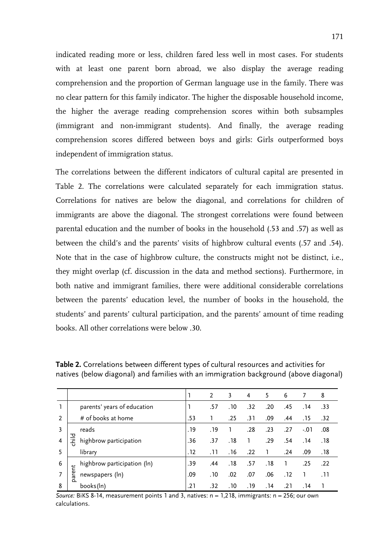indicated reading more or less, children fared less well in most cases. For students with at least one parent born abroad, we also display the average reading comprehension and the proportion of German language use in the family. There was no clear pattern for this family indicator. The higher the disposable household income, the higher the average reading comprehension scores within both subsamples (immigrant and non-immigrant students). And finally, the average reading comprehension scores differed between boys and girls: Girls outperformed boys independent of immigration status.

The correlations between the different indicators of cultural capital are presented in Table 2. The correlations were calculated separately for each immigration status. Correlations for natives are below the diagonal, and correlations for children of immigrants are above the diagonal. The strongest correlations were found between parental education and the number of books in the household (.53 and .57) as well as between the child's and the parents' visits of highbrow cultural events (.57 and .54). Note that in the case of highbrow culture, the constructs might not be distinct, i.e., they might overlap (cf. discussion in the data and method sections). Furthermore, in both native and immigrant families, there were additional considerable correlations between the parents' education level, the number of books in the household, the students' and parents' cultural participation, and the parents' amount of time reading books. All other correlations were below .30.

|   |       |                             |      | 2    | 3    | 4    | 5    | 6    | 7       | 8    |
|---|-------|-----------------------------|------|------|------|------|------|------|---------|------|
| 1 |       | parents' years of education |      | .57  | . 10 | .32  | .20  | .45  | . 14    | .33  |
| 2 |       | # of books at home          | .53  |      | .25  | .31  | .09  | .44  | . 15    | .32  |
| 3 |       | reads                       | . 19 | . 19 |      | .28  | .23  | .27  | $-0.01$ | .08  |
|   | 픟     | highbrow participation      | .36  | .37  | .18  |      | .29  | .54  | . 14    | . 18 |
| 5 |       | library                     | . 12 | .11  | .16  | .22  |      | .24  | .09     | . 18 |
| 6 |       | highbrow participation (ln) | .39  | .44  | .18  | .57  | . 18 |      | .25     | .22  |
|   | arent | newspapers (ln)             | .09  | . 10 | .02  | .07  | .06  | . 12 |         | . 11 |
| 8 | Ó     | books(In)                   | .21  | .32  | .10  | . 19 | . 14 | .21  | . 14    |      |

**Table 2.** Correlations between different types of cultural resources and activities for natives (below diagonal) and families with an immigration background (above diagonal)

*Source:* BiKS 8-14, measurement points 1 and 3, natives: n = 1,218, immigrants: n = 256; our own calculations.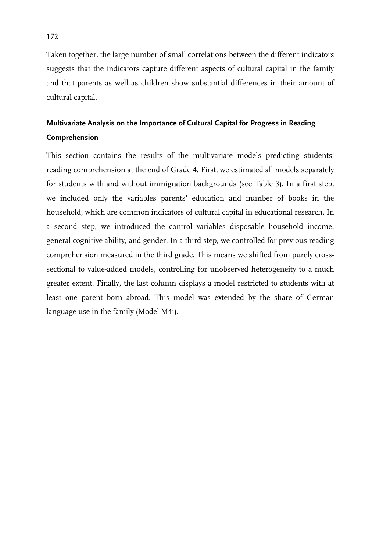Taken together, the large number of small correlations between the different indicators suggests that the indicators capture different aspects of cultural capital in the family and that parents as well as children show substantial differences in their amount of cultural capital.

## **Multivariate Analysis on the Importance of Cultural Capital for Progress in Reading Comprehension**

This section contains the results of the multivariate models predicting students' reading comprehension at the end of Grade 4. First, we estimated all models separately for students with and without immigration backgrounds (see Table 3). In a first step, we included only the variables parents' education and number of books in the household, which are common indicators of cultural capital in educational research. In a second step, we introduced the control variables disposable household income, general cognitive ability, and gender. In a third step, we controlled for previous reading comprehension measured in the third grade. This means we shifted from purely crosssectional to value-added models, controlling for unobserved heterogeneity to a much greater extent. Finally, the last column displays a model restricted to students with at least one parent born abroad. This model was extended by the share of German language use in the family (Model M4i).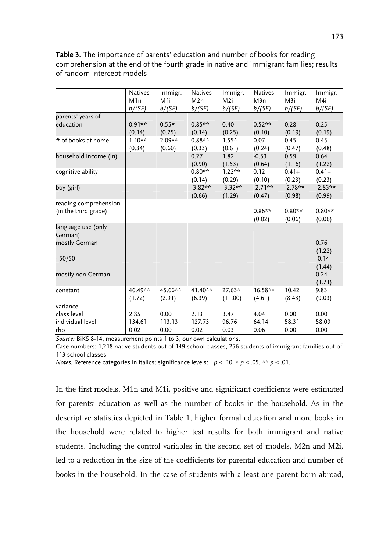|                                                    | Natives                    | Immigr.                  | Natives                | Immigr.                   | <b>Natives</b>        | Immigr.                    | Immigr.               |
|----------------------------------------------------|----------------------------|--------------------------|------------------------|---------------------------|-----------------------|----------------------------|-----------------------|
|                                                    | M <sub>1</sub> n<br>b/(SE) | M <sub>1</sub><br>b/(SE) | M2n<br>b/(SE)          | M <sub>2i</sub><br>b/(SE) | M3n<br>b/(SE)         | M <sub>3</sub> i<br>b/(SE) | M4i<br>b/(SE)         |
| parents' years of                                  |                            |                          |                        |                           |                       |                            |                       |
| education                                          | $0.91**$<br>(0.14)         | $0.55*$<br>(0.25)        | $0.85**$<br>(0.14)     | 0.40<br>(0.25)            | $0.52**$<br>(0.10)    | 0.28<br>(0.19)             | 0.25<br>(0.19)        |
| # of books at home                                 | $1.10**$<br>(0.34)         | 2.09**<br>(0.60)         | $0.88**$<br>(0.33)     | $1.55*$<br>(0.61)         | 0.07<br>(0.24)        | 0.45<br>(0.47)             | 0.45<br>(0.48)        |
| household income (ln)                              |                            |                          | 0.27<br>(0.90)         | 1.82<br>(1.53)            | $-0.53$<br>(0.64)     | 0.59<br>(1.16)             | 0.64<br>(1.22)        |
| cognitive ability                                  |                            |                          | $0.80**$<br>(0.14)     | $1.22**$<br>(0.29)        | 0.12<br>(0.10)        | $0.41 +$<br>(0.23)         | $0.41+$<br>(0.23)     |
| boy (girl)                                         |                            |                          | $-3.82**$<br>(0.66)    | $-3.32**$<br>(1.29)       | $-2.71**$<br>(0.47)   | $-2.78**$<br>(0.98)        | $-2.83**$<br>(0.99)   |
| reading comprehension<br>(in the third grade)      |                            |                          |                        |                           | $0.86**$<br>(0.02)    | $0.80**$<br>(0.06)         | $0.80**$<br>(0.06)    |
| language use (only<br>German)<br>mostly German     |                            |                          |                        |                           |                       |                            | 0.76<br>(1.22)        |
| ~10/50                                             |                            |                          |                        |                           |                       |                            | $-0.14$<br>(1.44)     |
| mostly non-German                                  |                            |                          |                        |                           |                       |                            | 0.24<br>(1.71)        |
| constant                                           | 46.49**<br>(1.72)          | 45.66**<br>(2.91)        | 41.40**<br>(6.39)      | $27.63*$<br>(11.00)       | 16.58**<br>(4.61)     | 10.42<br>(8.43)            | 9.83<br>(9.03)        |
| variance<br>class level<br>individual level<br>rho | 2.85<br>134.61<br>0.02     | 0.00<br>113.13<br>0.00   | 2.13<br>127.73<br>0.02 | 3.47<br>96.76<br>0.03     | 4.04<br>64.14<br>0.06 | 0.00<br>58.31<br>0.00      | 0.00<br>58.09<br>0.00 |

**Table 3.** The importance of parents' education and number of books for reading comprehension at the end of the fourth grade in native and immigrant families; results of random-intercept models

*Source:* BiKS 8-14, measurement points 1 to 3, our own calculations.

Case numbers: 1,218 native students out of 149 school classes, 256 students of immigrant families out of 113 school classes.

*Notes.* Reference categories in italics; significance levels:  $^+$  *p* ≤ .10,  $^*$  *p* ≤ .05,  $^{**}$  *p* ≤ .01.

In the first models, M1n and M1i, positive and significant coefficients were estimated for parents' education as well as the number of books in the household. As in the descriptive statistics depicted in Table 1, higher formal education and more books in the household were related to higher test results for both immigrant and native students. Including the control variables in the second set of models, M2n and M2i, led to a reduction in the size of the coefficients for parental education and number of books in the household. In the case of students with a least one parent born abroad,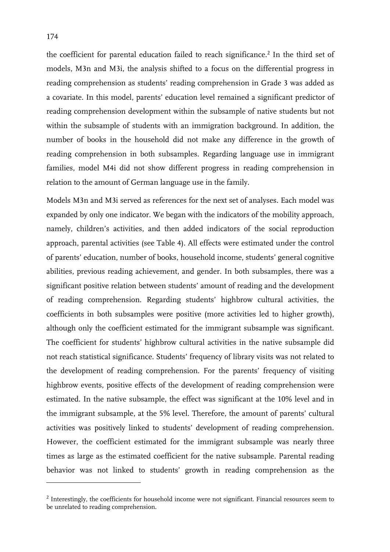the coefficient for parental education failed to reach significance.<sup>2</sup> In the third set of models, M3n and M3i, the analysis shifted to a focus on the differential progress in reading comprehension as students' reading comprehension in Grade 3 was added as a covariate. In this model, parents' education level remained a significant predictor of reading comprehension development within the subsample of native students but not within the subsample of students with an immigration background. In addition, the number of books in the household did not make any difference in the growth of reading comprehension in both subsamples. Regarding language use in immigrant families, model M4i did not show different progress in reading comprehension in relation to the amount of German language use in the family.

Models M3n and M3i served as references for the next set of analyses. Each model was expanded by only one indicator. We began with the indicators of the mobility approach, namely, children's activities, and then added indicators of the social reproduction approach, parental activities (see Table 4). All effects were estimated under the control of parents' education, number of books, household income, students' general cognitive abilities, previous reading achievement, and gender. In both subsamples, there was a significant positive relation between students' amount of reading and the development of reading comprehension. Regarding students' highbrow cultural activities, the coefficients in both subsamples were positive (more activities led to higher growth), although only the coefficient estimated for the immigrant subsample was significant. The coefficient for students' highbrow cultural activities in the native subsample did not reach statistical significance. Students' frequency of library visits was not related to the development of reading comprehension. For the parents' frequency of visiting highbrow events, positive effects of the development of reading comprehension were estimated. In the native subsample, the effect was significant at the 10% level and in the immigrant subsample, at the 5% level. Therefore, the amount of parents' cultural activities was positively linked to students' development of reading comprehension. However, the coefficient estimated for the immigrant subsample was nearly three times as large as the estimated coefficient for the native subsample. Parental reading behavior was not linked to students' growth in reading comprehension as the

-

<sup>&</sup>lt;sup>2</sup> Interestingly, the coefficients for household income were not significant. Financial resources seem to be unrelated to reading comprehension.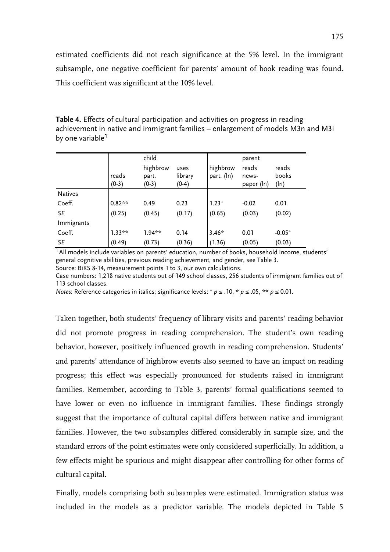estimated coefficients did not reach significance at the 5% level. In the immigrant subsample, one negative coefficient for parents' amount of book reading was found. This coefficient was significant at the 10% level.

| Table 4. Effects of cultural participation and activities on progress in reading |
|----------------------------------------------------------------------------------|
| achievement in native and immigrant families - enlargement of models M3n and M3i |
| by one variable <sup>1</sup>                                                     |

|                | reads<br>$(0-3)$ | child<br>highbrow<br>part.<br>$(0-3)$ | uses<br>library<br>$(0-4)$ | highbrow<br>part. (In) | parent<br>reads<br>news-<br>paper (ln) | reads<br>books<br>(ln) |
|----------------|------------------|---------------------------------------|----------------------------|------------------------|----------------------------------------|------------------------|
| <b>Natives</b> |                  |                                       |                            |                        |                                        |                        |
| Coeff.         | $0.82**$         | 0.49                                  | 0.23                       | $1.23+$                | $-0.02$                                | 0.01                   |
| SE             | (0.25)           | (0.45)                                | (0.17)                     | (0.65)                 | (0.03)                                 | (0.02)                 |
| Immigrants     |                  |                                       |                            |                        |                                        |                        |
| Coeff.         | $1.33**$         | $1.94**$                              | 0.14                       | $3.46*$                | 0.01                                   | $-0.05+$               |
| SE             | (0.49)           | (0.73)                                | (0.36)                     | (1.36)                 | (0.05)                                 | (0.03)                 |

 $1$  All models include variables on parents' education, number of books, household income, students' general cognitive abilities, previous reading achievement, and gender, see Table 3. Source: BiKS 8-14, measurement points 1 to 3, our own calculations.

Case numbers: 1,218 native students out of 149 school classes, 256 students of immigrant families out of 113 school classes.

*Notes*: Reference categories in italics; significance levels: + *p* ≤ .10, \* *p* ≤ .05, \*\* *p* ≤ 0.01.

Taken together, both students' frequency of library visits and parents' reading behavior did not promote progress in reading comprehension. The student's own reading behavior, however, positively influenced growth in reading comprehension. Students' and parents' attendance of highbrow events also seemed to have an impact on reading progress; this effect was especially pronounced for students raised in immigrant families. Remember, according to Table 3, parents' formal qualifications seemed to have lower or even no influence in immigrant families. These findings strongly suggest that the importance of cultural capital differs between native and immigrant families. However, the two subsamples differed considerably in sample size, and the standard errors of the point estimates were only considered superficially. In addition, a few effects might be spurious and might disappear after controlling for other forms of cultural capital.

Finally, models comprising both subsamples were estimated. Immigration status was included in the models as a predictor variable. The models depicted in Table 5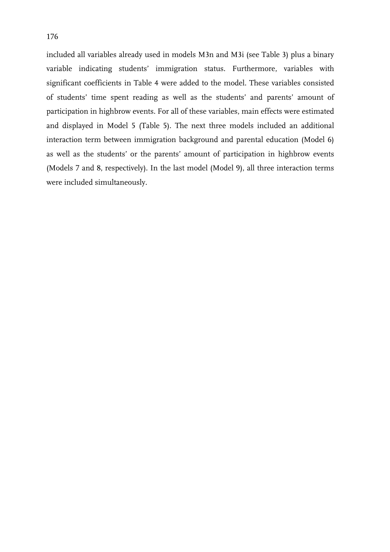included all variables already used in models M3n and M3i (see Table 3) plus a binary variable indicating students' immigration status. Furthermore, variables with significant coefficients in Table 4 were added to the model. These variables consisted of students' time spent reading as well as the students' and parents' amount of participation in highbrow events. For all of these variables, main effects were estimated and displayed in Model 5 (Table 5). The next three models included an additional interaction term between immigration background and parental education (Model 6) as well as the students' or the parents' amount of participation in highbrow events (Models 7 and 8, respectively). In the last model (Model 9), all three interaction terms were included simultaneously.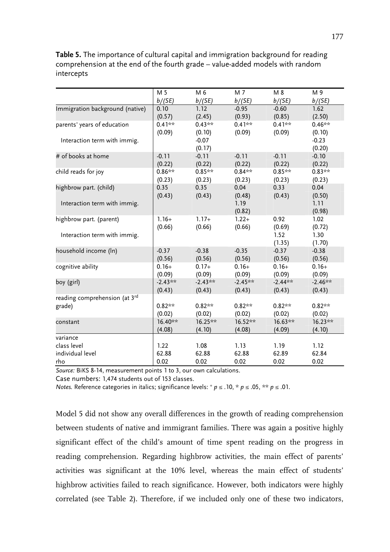**Table 5.** The importance of cultural capital and immigration background for reading comprehension at the end of the fourth grade – value-added models with random intercepts

|                                 | M 5       | M 6               | M 7            | M 8            | M 9               |
|---------------------------------|-----------|-------------------|----------------|----------------|-------------------|
|                                 | b/(SE)    | b/(SE)            | b/(SE)         | b/(SE)         | b/(SE)            |
| Immigration background (native) | 0.10      | 1.12              | $-0.95$        | $-0.60$        | 1.62              |
|                                 | (0.57)    | (2.45)            | (0.93)         | (0.85)         | (2.50)            |
| parents' years of education     | $0.41***$ | $0.43**$          | $0.41**$       | $0.41***$      | $0.46**$          |
|                                 | (0.09)    | (0.10)            | (0.09)         | (0.09)         | (0.10)            |
| Interaction term with immig.    |           | $-0.07$<br>(0.17) |                |                | $-0.23$<br>(0.20) |
| # of books at home              | $-0.11$   | $-0.11$           | $-0.11$        | $-0.11$        | $-0.10$           |
|                                 | (0.22)    | (0.22)            | (0.22)         | (0.22)         | (0.22)            |
| child reads for joy             | $0.86**$  | $0.85**$          | $0.84***$      | $0.85**$       | $0.83**$          |
|                                 | (0.23)    | (0.23)            | (0.23)         | (0.23)         | (0.23)            |
| highbrow part. (child)          | 0.35      | 0.35              | 0.04           | 0.33           | 0.04              |
|                                 | (0.43)    | (0.43)            | (0.48)         | (0.43)         | (0.50)            |
| Interaction term with immig.    |           |                   | 1.19<br>(0.82) |                | 1.11<br>(0.98)    |
| highbrow part. (parent)         | $1.16+$   | $1.17+$           | $1.22+$        | 0.92           | 1.02              |
|                                 | (0.66)    | (0.66)            | (0.66)         | (0.69)         | (0.72)            |
| Interaction term with immig.    |           |                   |                | 1.52<br>(1.35) | 1.30<br>(1.70)    |
| household income (ln)           | $-0.37$   | $-0.38$           | $-0.35$        | $-0.37$        | $-0.38$           |
|                                 | (0.56)    | (0.56)            | (0.56)         | (0.56)         | (0.56)            |
| cognitive ability               | $0.16+$   | $0.17+$           | $0.16+$        | $0.16+$        | $0.16+$           |
|                                 | (0.09)    | (0.09)            | (0.09)         | (0.09)         | (0.09)            |
| boy (girl)                      | $-2.43**$ | $-2.43**$         | $-2.45**$      | $-2.44***$     | $-2.46***$        |
|                                 | (0.43)    | (0.43)            | (0.43)         | (0.43)         | (0.43)            |
| reading comprehension (at 3rd   |           |                   |                |                |                   |
| grade)                          | $0.82**$  | $0.82**$          | $0.82**$       | $0.82**$       | $0.82**$          |
|                                 | (0.02)    | (0.02)            | (0.02)         | (0.02)         | (0.02)            |
| constant                        | 16.40**   | 16.25**           | 16.52**        | 16.63**        | 16.23**           |
|                                 | (4.08)    | (4.10)            | (4.08)         | (4.09)         | (4.10)            |
| variance                        |           |                   |                |                |                   |
| class level                     | 1.22      | 1.08              | 1.13           | 1.19           | 1.12              |
| individual level                | 62.88     | 62.88             | 62.88          | 62.89          | 62.84             |
| rho                             | 0.02      | 0.02              | 0.02           | 0.02           | 0.02              |

*Source:* BiKS 8-14, measurement points 1 to 3, our own calculations.

Case numbers: 1,474 students out of 153 classes.

*Notes.* Reference categories in italics; significance levels: + *p* ≤ .10, \* *p* ≤ .05, \*\* *p* ≤ .01.

Model 5 did not show any overall differences in the growth of reading comprehension between students of native and immigrant families. There was again a positive highly significant effect of the child's amount of time spent reading on the progress in reading comprehension. Regarding highbrow activities, the main effect of parents' activities was significant at the 10% level, whereas the main effect of students' highbrow activities failed to reach significance. However, both indicators were highly correlated (see Table 2). Therefore, if we included only one of these two indicators,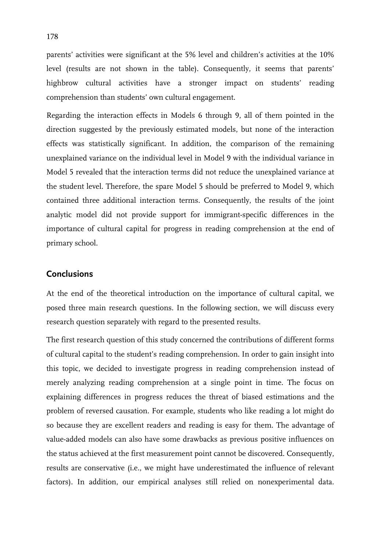parents' activities were significant at the 5% level and children's activities at the 10% level (results are not shown in the table). Consequently, it seems that parents' highbrow cultural activities have a stronger impact on students' reading comprehension than students' own cultural engagement.

Regarding the interaction effects in Models 6 through 9, all of them pointed in the direction suggested by the previously estimated models, but none of the interaction effects was statistically significant. In addition, the comparison of the remaining unexplained variance on the individual level in Model 9 with the individual variance in Model 5 revealed that the interaction terms did not reduce the unexplained variance at the student level. Therefore, the spare Model 5 should be preferred to Model 9, which contained three additional interaction terms. Consequently, the results of the joint analytic model did not provide support for immigrant-specific differences in the importance of cultural capital for progress in reading comprehension at the end of primary school.

### **Conclusions**

At the end of the theoretical introduction on the importance of cultural capital, we posed three main research questions. In the following section, we will discuss every research question separately with regard to the presented results.

The first research question of this study concerned the contributions of different forms of cultural capital to the student's reading comprehension. In order to gain insight into this topic, we decided to investigate progress in reading comprehension instead of merely analyzing reading comprehension at a single point in time. The focus on explaining differences in progress reduces the threat of biased estimations and the problem of reversed causation. For example, students who like reading a lot might do so because they are excellent readers and reading is easy for them. The advantage of value-added models can also have some drawbacks as previous positive influences on the status achieved at the first measurement point cannot be discovered. Consequently, results are conservative (i.e., we might have underestimated the influence of relevant factors). In addition, our empirical analyses still relied on nonexperimental data.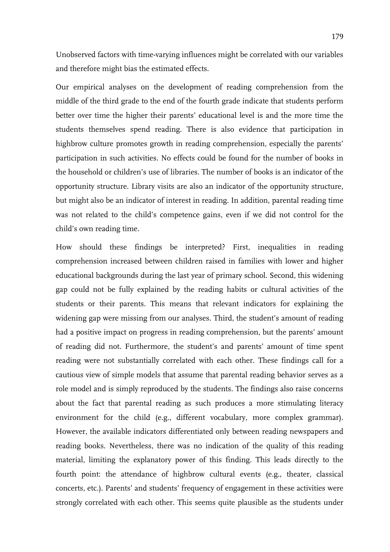Unobserved factors with time-varying influences might be correlated with our variables and therefore might bias the estimated effects.

Our empirical analyses on the development of reading comprehension from the middle of the third grade to the end of the fourth grade indicate that students perform better over time the higher their parents' educational level is and the more time the students themselves spend reading. There is also evidence that participation in highbrow culture promotes growth in reading comprehension, especially the parents' participation in such activities. No effects could be found for the number of books in the household or children's use of libraries. The number of books is an indicator of the opportunity structure. Library visits are also an indicator of the opportunity structure, but might also be an indicator of interest in reading. In addition, parental reading time was not related to the child's competence gains, even if we did not control for the child's own reading time.

How should these findings be interpreted? First, inequalities in reading comprehension increased between children raised in families with lower and higher educational backgrounds during the last year of primary school. Second, this widening gap could not be fully explained by the reading habits or cultural activities of the students or their parents. This means that relevant indicators for explaining the widening gap were missing from our analyses. Third, the student's amount of reading had a positive impact on progress in reading comprehension, but the parents' amount of reading did not. Furthermore, the student's and parents' amount of time spent reading were not substantially correlated with each other. These findings call for a cautious view of simple models that assume that parental reading behavior serves as a role model and is simply reproduced by the students. The findings also raise concerns about the fact that parental reading as such produces a more stimulating literacy environment for the child (e.g., different vocabulary, more complex grammar). However, the available indicators differentiated only between reading newspapers and reading books. Nevertheless, there was no indication of the quality of this reading material, limiting the explanatory power of this finding. This leads directly to the fourth point: the attendance of highbrow cultural events (e.g., theater, classical concerts, etc.). Parents' and students' frequency of engagement in these activities were strongly correlated with each other. This seems quite plausible as the students under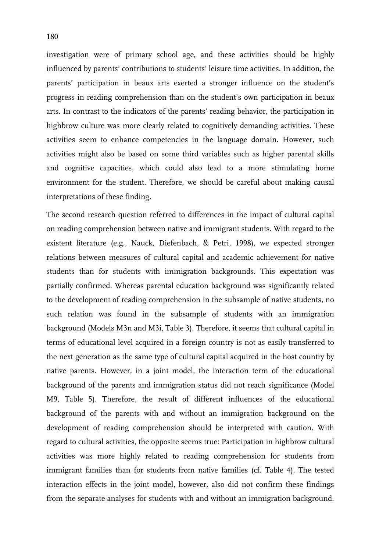investigation were of primary school age, and these activities should be highly influenced by parents' contributions to students' leisure time activities. In addition, the parents' participation in beaux arts exerted a stronger influence on the student's progress in reading comprehension than on the student's own participation in beaux arts. In contrast to the indicators of the parents' reading behavior, the participation in highbrow culture was more clearly related to cognitively demanding activities. These activities seem to enhance competencies in the language domain. However, such activities might also be based on some third variables such as higher parental skills and cognitive capacities, which could also lead to a more stimulating home environment for the student. Therefore, we should be careful about making causal interpretations of these finding.

The second research question referred to differences in the impact of cultural capital on reading comprehension between native and immigrant students. With regard to the existent literature (e.g., Nauck, Diefenbach, & Petri, 1998), we expected stronger relations between measures of cultural capital and academic achievement for native students than for students with immigration backgrounds. This expectation was partially confirmed. Whereas parental education background was significantly related to the development of reading comprehension in the subsample of native students, no such relation was found in the subsample of students with an immigration background (Models M3n and M3i, Table 3). Therefore, it seems that cultural capital in terms of educational level acquired in a foreign country is not as easily transferred to the next generation as the same type of cultural capital acquired in the host country by native parents. However, in a joint model, the interaction term of the educational background of the parents and immigration status did not reach significance (Model M9, Table 5). Therefore, the result of different influences of the educational background of the parents with and without an immigration background on the development of reading comprehension should be interpreted with caution. With regard to cultural activities, the opposite seems true: Participation in highbrow cultural activities was more highly related to reading comprehension for students from immigrant families than for students from native families (cf. Table 4). The tested interaction effects in the joint model, however, also did not confirm these findings from the separate analyses for students with and without an immigration background.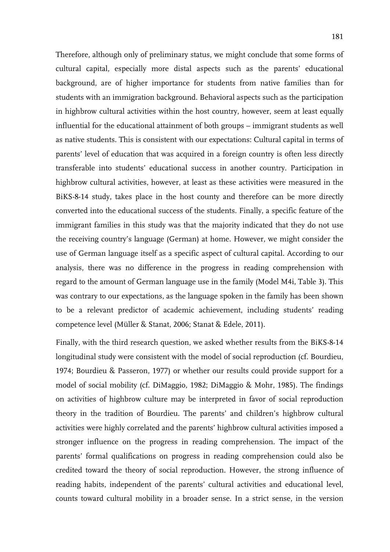Therefore, although only of preliminary status, we might conclude that some forms of cultural capital, especially more distal aspects such as the parents' educational background, are of higher importance for students from native families than for students with an immigration background. Behavioral aspects such as the participation in highbrow cultural activities within the host country, however, seem at least equally influential for the educational attainment of both groups – immigrant students as well as native students. This is consistent with our expectations: Cultural capital in terms of parents' level of education that was acquired in a foreign country is often less directly transferable into students' educational success in another country. Participation in highbrow cultural activities, however, at least as these activities were measured in the BiKS-8-14 study, takes place in the host county and therefore can be more directly converted into the educational success of the students. Finally, a specific feature of the immigrant families in this study was that the majority indicated that they do not use the receiving country's language (German) at home. However, we might consider the use of German language itself as a specific aspect of cultural capital. According to our analysis, there was no difference in the progress in reading comprehension with regard to the amount of German language use in the family (Model M4i, Table 3). This was contrary to our expectations, as the language spoken in the family has been shown to be a relevant predictor of academic achievement, including students' reading competence level (Müller & Stanat, 2006; Stanat & Edele, 2011).

Finally, with the third research question, we asked whether results from the BiKS-8-14 longitudinal study were consistent with the model of social reproduction (cf. Bourdieu, 1974; Bourdieu & Passeron, 1977) or whether our results could provide support for a model of social mobility (cf. DiMaggio, 1982; DiMaggio & Mohr, 1985). The findings on activities of highbrow culture may be interpreted in favor of social reproduction theory in the tradition of Bourdieu. The parents' and children's highbrow cultural activities were highly correlated and the parents' highbrow cultural activities imposed a stronger influence on the progress in reading comprehension. The impact of the parents' formal qualifications on progress in reading comprehension could also be credited toward the theory of social reproduction. However, the strong influence of reading habits, independent of the parents' cultural activities and educational level, counts toward cultural mobility in a broader sense. In a strict sense, in the version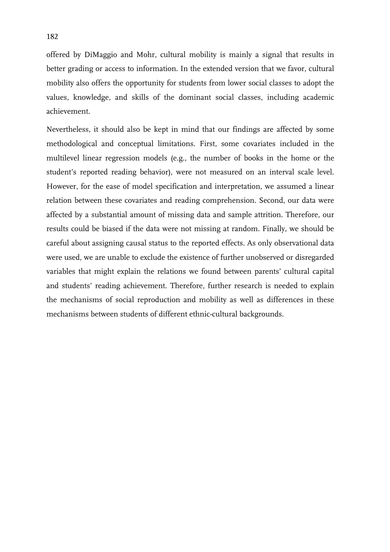offered by DiMaggio and Mohr, cultural mobility is mainly a signal that results in better grading or access to information. In the extended version that we favor, cultural mobility also offers the opportunity for students from lower social classes to adopt the values, knowledge, and skills of the dominant social classes, including academic achievement.

Nevertheless, it should also be kept in mind that our findings are affected by some methodological and conceptual limitations. First, some covariates included in the multilevel linear regression models (e.g., the number of books in the home or the student's reported reading behavior), were not measured on an interval scale level. However, for the ease of model specification and interpretation, we assumed a linear relation between these covariates and reading comprehension. Second, our data were affected by a substantial amount of missing data and sample attrition. Therefore, our results could be biased if the data were not missing at random. Finally, we should be careful about assigning causal status to the reported effects. As only observational data were used, we are unable to exclude the existence of further unobserved or disregarded variables that might explain the relations we found between parents' cultural capital and students' reading achievement. Therefore, further research is needed to explain the mechanisms of social reproduction and mobility as well as differences in these mechanisms between students of different ethnic-cultural backgrounds.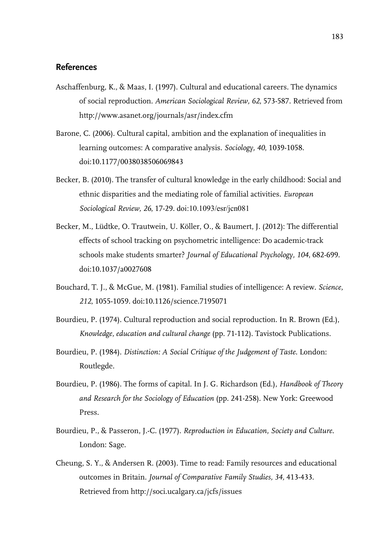### **References**

- Aschaffenburg, K., & Maas, I. (1997). Cultural and educational careers. The dynamics of social reproduction. *American Sociological Review, 62*, 573-587. Retrieved from http://www.asanet.org/journals/asr/index.cfm
- Barone, C. (2006). Cultural capital, ambition and the explanation of inequalities in learning outcomes: A comparative analysis. *Sociology, 40*, 1039-1058. doi:10.1177/0038038506069843
- Becker, B. (2010). The transfer of cultural knowledge in the early childhood: Social and ethnic disparities and the mediating role of familial activities. *European Sociological Review, 26*, 17-29. doi:10.1093/esr/jcn081
- Becker, M., Lüdtke, O. Trautwein, U. Köller, O., & Baumert, J. (2012): The differential effects of school tracking on psychometric intelligence: Do academic-track schools make students smarter? *Journal of Educational Psychology, 104*, 682-699. doi:10.1037/a0027608
- Bouchard, T. J., & McGue, M. (1981). Familial studies of intelligence: A review. *Science, 212*, 1055-1059. doi:10.1126/science.7195071
- Bourdieu, P. (1974). Cultural reproduction and social reproduction. In R. Brown (Ed.), *Knowledge, education and cultural change* (pp. 71-112). Tavistock Publications.
- Bourdieu, P. (1984). *Distinction: A Social Critique of the Judgement of Taste*. London: Routlegde.
- Bourdieu, P. (1986). The forms of capital. In J. G. Richardson (Ed.), *Handbook of Theory and Research for the Sociology of Education* (pp. 241-258). New York: Greewood Press.
- Bourdieu, P., & Passeron, J.-C. (1977). *Reproduction in Education, Society and Culture*. London: Sage.
- Cheung, S. Y., & Andersen R. (2003). Time to read: Family resources and educational outcomes in Britain. *Journal of Comparative Family Studies, 34,* 413-433. Retrieved from http://soci.ucalgary.ca/jcfs/issues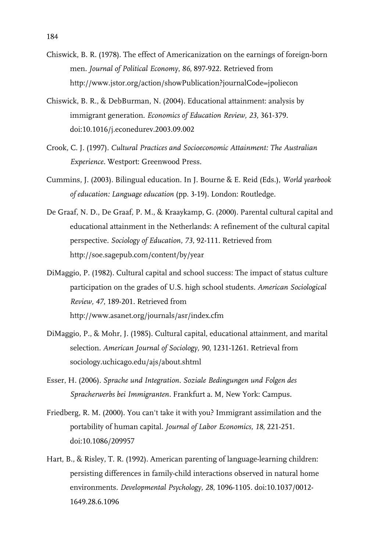- Chiswick, B. R. (1978). The effect of Americanization on the earnings of foreign-born men. *Journal of Political Economy*, *86*, 897-922. Retrieved from http://www.jstor.org/action/showPublication?journalCode=jpoliecon
- Chiswick, B. R., & DebBurman, N. (2004). Educational attainment: analysis by immigrant generation. *Economics of Education Review, 23*, 361-379. doi:10.1016/j.econedurev.2003.09.002
- Crook, C. J. (1997). *Cultural Practices and Socioeconomic Attainment: The Australian Experience*. Westport: Greenwood Press.
- Cummins, J. (2003). Bilingual education. In J. Bourne & E. Reid (Eds.), *World yearbook of education: Language education* (pp. 3-19). London: Routledge.
- De Graaf, N. D., De Graaf, P. M., & Kraaykamp, G. (2000). Parental cultural capital and educational attainment in the Netherlands: A refinement of the cultural capital perspective. *Sociology of Education, 73*, 92-111. Retrieved from http://soe.sagepub.com/content/by/year
- DiMaggio, P. (1982). Cultural capital and school success: The impact of status culture participation on the grades of U.S. high school students*. American Sociological Review, 47*, 189-201. Retrieved from http://www.asanet.org/journals/asr/index.cfm
- DiMaggio, P., & Mohr, J. (1985). Cultural capital, educational attainment, and marital selection. *American Journal of Sociology, 90*, 1231-1261. Retrieval from sociology.uchicago.edu/ajs/about.shtml
- Esser, H. (2006). *Sprache und Integration. Soziale Bedingungen und Folgen des Spracherwerbs bei Immigranten.* Frankfurt a. M, New York: Campus.
- Friedberg, R. M. (2000). You can't take it with you? Immigrant assimilation and the portability of human capital. *Journal of Labor Economics, 18*, 221-251. doi:10.1086/209957
- Hart, B., & Risley, T. R. (1992). American parenting of language-learning children: persisting differences in family-child interactions observed in natural home environments. *Developmental Psychology, 28*, 1096-1105. doi:10.1037/0012- 1649.28.6.1096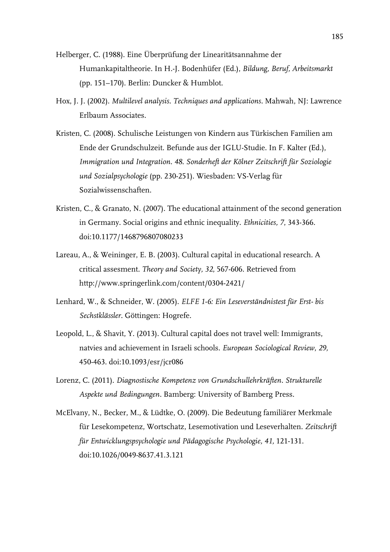- Helberger, C. (1988). Eine Überprüfung der Linearitätsannahme der Humankapitaltheorie. In H.-J. Bodenhüfer (Ed.), *Bildung, Beruf, Arbeitsmarkt* (pp. 151–170). Berlin: Duncker & Humblot.
- Hox, J. J. (2002). *Multilevel analysis. Techniques and applications.* Mahwah, NJ: Lawrence Erlbaum Associates.
- Kristen, C. (2008). Schulische Leistungen von Kindern aus Türkischen Familien am Ende der Grundschulzeit. Befunde aus der IGLU-Studie. In F. Kalter (Ed.), *Immigration und Integration. 48. Sonderheft der Kölner Zeitschrift für Soziologie und Sozialpsychologie* (pp. 230-251). Wiesbaden: VS-Verlag für Sozialwissenschaften.
- Kristen, C., & Granato, N. (2007). The educational attainment of the second generation in Germany. Social origins and ethnic inequality. *Ethnicities, 7*, 343-366. doi:10.1177/1468796807080233
- Lareau, A., & Weininger, E. B. (2003). Cultural capital in educational research. A critical assesment. *Theory and Society, 32*, 567-606. Retrieved from http://www.springerlink.com/content/0304-2421/
- Lenhard, W., & Schneider, W. (2005). *ELFE 1-6: Ein Leseverständnistest für Erst- bis Sechstklässler.* Göttingen: Hogrefe.
- Leopold, L., & Shavit, Y. (2013). Cultural capital does not travel well: Immigrants, natvies and achievement in Israeli schools. *European Sociological Review*, *29,* 450-463. doi:10.1093/esr/jcr086
- Lorenz, C. (2011). *Diagnostische Kompetenz von Grundschullehrkräften. Strukturelle Aspekte und Bedingungen.* Bamberg: University of Bamberg Press.
- McElvany, N., Becker, M., & Lüdtke, O. (2009). Die Bedeutung familiärer Merkmale für Lesekompetenz, Wortschatz, Lesemotivation und Leseverhalten. *Zeitschrift für Entwicklungspsychologie und Pädagogische Psychologie, 41,* 121-131. doi:10.1026/0049-8637.41.3.121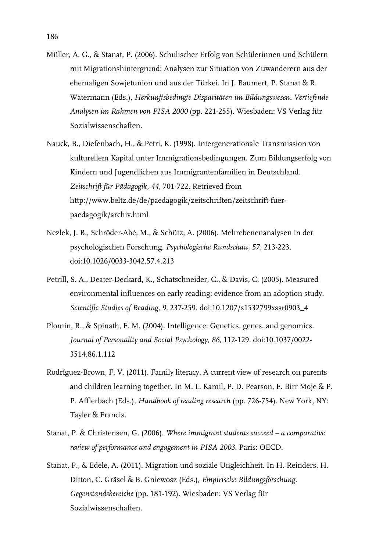- Müller, A. G., & Stanat, P. (2006). Schulischer Erfolg von Schülerinnen und Schülern mit Migrationshintergrund: Analysen zur Situation von Zuwanderern aus der ehemaligen Sowjetunion und aus der Türkei. In J. Baumert, P. Stanat & R. Watermann (Eds.), *Herkunftsbedingte Disparitäten im Bildungswesen. Vertiefende Analysen im Rahmen von PISA 2000* (pp. 221-255). Wiesbaden: VS Verlag für Sozialwissenschaften.
- Nauck, B., Diefenbach, H., & Petri, K. (1998). Intergenerationale Transmission von kulturellem Kapital unter Immigrationsbedingungen. Zum Bildungserfolg von Kindern und Jugendlichen aus Immigrantenfamilien in Deutschland. *Zeitschrift für Pädagogik, 44,* 701-722. Retrieved from http://www.beltz.de/de/paedagogik/zeitschriften/zeitschrift-fuerpaedagogik/archiv.html
- Nezlek, J. B., Schröder-Abé, M., & Schütz, A. (2006). Mehrebenenanalysen in der psychologischen Forschung. *Psychologische Rundschau, 57,* 213-223. doi:10.1026/0033-3042.57.4.213
- Petrill, S. A., Deater-Deckard, K., Schatschneider, C., & Davis, C. (2005). Measured environmental influences on early reading: evidence from an adoption study. *Scientific Studies of Reading, 9,* 237-259. doi:10.1207/s1532799xssr0903\_4
- Plomin, R., & Spinath, F. M. (2004). Intelligence: Genetics, genes, and genomics. *Journal of Personality and Social Psychology, 86*, 112-129. doi:10.1037/0022- 3514.86.1.112
- Rodríguez-Brown, F. V. (2011). Family literacy. A current view of research on parents and children learning together. In M. L. Kamil, P. D. Pearson, E. Birr Moje & P. P. Afflerbach (Eds.), *Handbook of reading research* (pp. 726-754). New York, NY: Tayler & Francis.
- Stanat, P. & Christensen, G. (2006). *Where immigrant students succeed a comparative review of performance and engagement in PISA 2003*. Paris: OECD.
- Stanat, P., & Edele, A. (2011). Migration und soziale Ungleichheit. In H. Reinders, H. Ditton, C. Gräsel & B. Gniewosz (Eds.), *Empirische Bildungsforschung. Gegenstandsbereiche* (pp. 181-192). Wiesbaden: VS Verlag für Sozialwissenschaften.